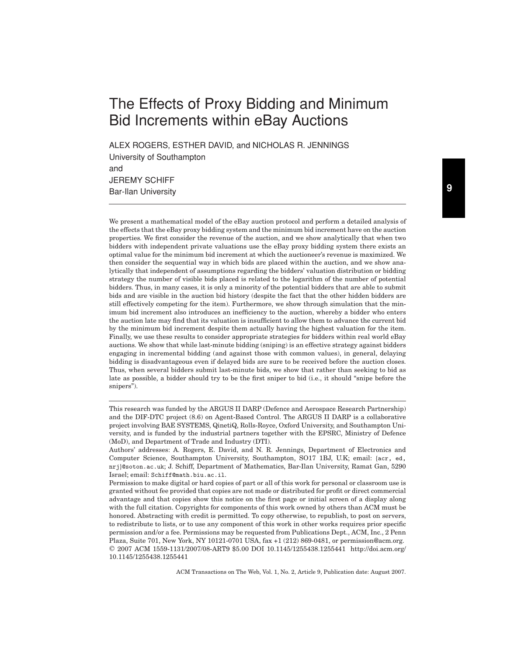# The Effects of Proxy Bidding and Minimum Bid Increments within eBay Auctions

ALEX ROGERS, ESTHER DAVID, and NICHOLAS R. JENNINGS

University of Southampton and JEREMY SCHIFF

Bar-Ilan University

We present a mathematical model of the eBay auction protocol and perform a detailed analysis of the effects that the eBay proxy bidding system and the minimum bid increment have on the auction properties. We first consider the revenue of the auction, and we show analytically that when two bidders with independent private valuations use the eBay proxy bidding system there exists an optimal value for the minimum bid increment at which the auctioneer's revenue is maximized. We then consider the sequential way in which bids are placed within the auction, and we show analytically that independent of assumptions regarding the bidders' valuation distribution or bidding strategy the number of visible bids placed is related to the logarithm of the number of potential bidders. Thus, in many cases, it is only a minority of the potential bidders that are able to submit bids and are visible in the auction bid history (despite the fact that the other hidden bidders are still effectively competing for the item). Furthermore, we show through simulation that the minimum bid increment also introduces an inefficiency to the auction, whereby a bidder who enters the auction late may find that its valuation is insufficient to allow them to advance the current bid by the minimum bid increment despite them actually having the highest valuation for the item. Finally, we use these results to consider appropriate strategies for bidders within real world eBay auctions. We show that while last-minute bidding (sniping) is an effective strategy against bidders engaging in incremental bidding (and against those with common values), in general, delaying bidding is disadvantageous even if delayed bids are sure to be received before the auction closes. Thus, when several bidders submit last-minute bids, we show that rather than seeking to bid as late as possible, a bidder should try to be the first sniper to bid (i.e., it should "snipe before the snipers").

This research was funded by the ARGUS II DARP (Defence and Aerospace Research Partnership) and the DIF-DTC project (8.6) on Agent-Based Control. The ARGUS II DARP is a collaborative project involving BAE SYSTEMS, QinetiQ, Rolls-Royce, Oxford University, and Southampton University, and is funded by the industrial partners together with the EPSRC, Ministry of Defence (MoD), and Department of Trade and Industry (DTI).

Authors' addresses: A. Rogers, E. David, and N. R. Jennings, Department of Electronics and Computer Science, Southampton University, Southampton, SO17 1BJ, U.K; email: {acr, ed, nrj}@soton.ac.uk; J. Schiff, Department of Mathematics, Bar-Ilan University, Ramat Gan, 5290 Israel; email: Schiff@math.biu.ac.il.

Permission to make digital or hard copies of part or all of this work for personal or classroom use is granted without fee provided that copies are not made or distributed for profit or direct commercial advantage and that copies show this notice on the first page or initial screen of a display along with the full citation. Copyrights for components of this work owned by others than ACM must be honored. Abstracting with credit is permitted. To copy otherwise, to republish, to post on servers, to redistribute to lists, or to use any component of this work in other works requires prior specific permission and/or a fee. Permissions may be requested from Publications Dept., ACM, Inc., 2 Penn Plaza, Suite 701, New York, NY 10121-0701 USA, fax +1 (212) 869-0481, or permission@acm.org. © 2007 ACM 1559-1131/2007/08-ART9 \$5.00 DOI 10.1145/1255438.1255441 http://doi.acm.org/ 10.1145/1255438.1255441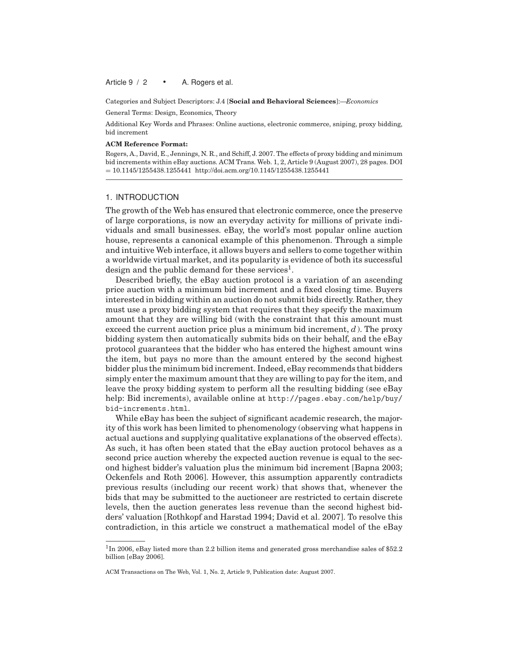Article 9 / 2 • A. Rogers et al.

Categories and Subject Descriptors: J.4 [**Social and Behavioral Sciences**]:—*Economics*

General Terms: Design, Economics, Theory

Additional Key Words and Phrases: Online auctions, electronic commerce, sniping, proxy bidding, bid increment

#### **ACM Reference Format:**

Rogers, A., David, E., Jennings, N. R., and Schiff, J. 2007. The effects of proxy bidding and minimum bid increments within eBay auctions. ACM Trans. Web. 1, 2, Article 9 (August 2007), 28 pages. DOI  $= 10.1145/1255438.1255441$  http://doi.acm.org/10.1145/1255438.1255441

#### 1. INTRODUCTION

The growth of the Web has ensured that electronic commerce, once the preserve of large corporations, is now an everyday activity for millions of private individuals and small businesses. eBay, the world's most popular online auction house, represents a canonical example of this phenomenon. Through a simple and intuitive Web interface, it allows buyers and sellers to come together within a worldwide virtual market, and its popularity is evidence of both its successful design and the public demand for these services<sup>1</sup>.

Described briefly, the eBay auction protocol is a variation of an ascending price auction with a minimum bid increment and a fixed closing time. Buyers interested in bidding within an auction do not submit bids directly. Rather, they must use a proxy bidding system that requires that they specify the maximum amount that they are willing bid (with the constraint that this amount must exceed the current auction price plus a minimum bid increment, *d*). The proxy bidding system then automatically submits bids on their behalf, and the eBay protocol guarantees that the bidder who has entered the highest amount wins the item, but pays no more than the amount entered by the second highest bidder plus the minimum bid increment. Indeed, eBay recommends that bidders simply enter the maximum amount that they are willing to pay for the item, and leave the proxy bidding system to perform all the resulting bidding (see eBay help: Bid increments), available online at http://pages.ebay.com/help/buy/ bid-increments.html.

While eBay has been the subject of significant academic research, the majority of this work has been limited to phenomenology (observing what happens in actual auctions and supplying qualitative explanations of the observed effects). As such, it has often been stated that the eBay auction protocol behaves as a second price auction whereby the expected auction revenue is equal to the second highest bidder's valuation plus the minimum bid increment [Bapna 2003; Ockenfels and Roth 2006]. However, this assumption apparently contradicts previous results (including our recent work) that shows that, whenever the bids that may be submitted to the auctioneer are restricted to certain discrete levels, then the auction generates less revenue than the second highest bidders' valuation [Rothkopf and Harstad 1994; David et al. 2007]. To resolve this contradiction, in this article we construct a mathematical model of the eBay

<sup>1</sup>In 2006, eBay listed more than 2.2 billion items and generated gross merchandise sales of \$52.2 billion [eBay 2006].

ACM Transactions on The Web, Vol. 1, No. 2, Article 9, Publication date: August 2007.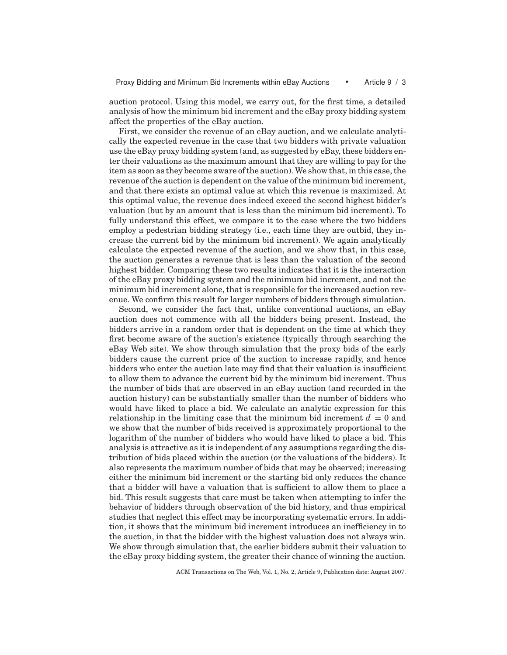auction protocol. Using this model, we carry out, for the first time, a detailed analysis of how the minimum bid increment and the eBay proxy bidding system affect the properties of the eBay auction.

First, we consider the revenue of an eBay auction, and we calculate analytically the expected revenue in the case that two bidders with private valuation use the eBay proxy bidding system (and, as suggested by eBay, these bidders enter their valuations as the maximum amount that they are willing to pay for the item as soon as they become aware of the auction). We show that, in this case, the revenue of the auction is dependent on the value of the minimum bid increment, and that there exists an optimal value at which this revenue is maximized. At this optimal value, the revenue does indeed exceed the second highest bidder's valuation (but by an amount that is less than the minimum bid increment). To fully understand this effect, we compare it to the case where the two bidders employ a pedestrian bidding strategy (i.e., each time they are outbid, they increase the current bid by the minimum bid increment). We again analytically calculate the expected revenue of the auction, and we show that, in this case, the auction generates a revenue that is less than the valuation of the second highest bidder. Comparing these two results indicates that it is the interaction of the eBay proxy bidding system and the minimum bid increment, and not the minimum bid increment alone, that is responsible for the increased auction revenue. We confirm this result for larger numbers of bidders through simulation.

Second, we consider the fact that, unlike conventional auctions, an eBay auction does not commence with all the bidders being present. Instead, the bidders arrive in a random order that is dependent on the time at which they first become aware of the auction's existence (typically through searching the eBay Web site). We show through simulation that the proxy bids of the early bidders cause the current price of the auction to increase rapidly, and hence bidders who enter the auction late may find that their valuation is insufficient to allow them to advance the current bid by the minimum bid increment. Thus the number of bids that are observed in an eBay auction (and recorded in the auction history) can be substantially smaller than the number of bidders who would have liked to place a bid. We calculate an analytic expression for this relationship in the limiting case that the minimum bid increment  $d = 0$  and we show that the number of bids received is approximately proportional to the logarithm of the number of bidders who would have liked to place a bid. This analysis is attractive as it is independent of any assumptions regarding the distribution of bids placed within the auction (or the valuations of the bidders). It also represents the maximum number of bids that may be observed; increasing either the minimum bid increment or the starting bid only reduces the chance that a bidder will have a valuation that is sufficient to allow them to place a bid. This result suggests that care must be taken when attempting to infer the behavior of bidders through observation of the bid history, and thus empirical studies that neglect this effect may be incorporating systematic errors. In addition, it shows that the minimum bid increment introduces an inefficiency in to the auction, in that the bidder with the highest valuation does not always win. We show through simulation that, the earlier bidders submit their valuation to the eBay proxy bidding system, the greater their chance of winning the auction.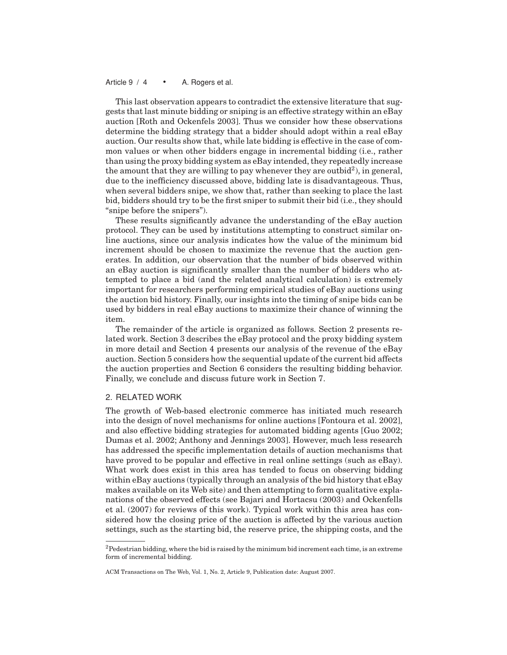#### Article 9 / 4 • A. Rogers et al.

This last observation appears to contradict the extensive literature that suggests that last minute bidding or sniping is an effective strategy within an eBay auction [Roth and Ockenfels 2003]. Thus we consider how these observations determine the bidding strategy that a bidder should adopt within a real eBay auction. Our results show that, while late bidding is effective in the case of common values or when other bidders engage in incremental bidding (i.e., rather than using the proxy bidding system as eBay intended, they repeatedly increase the amount that they are willing to pay whenever they are outbid<sup>2</sup>), in general, due to the inefficiency discussed above, bidding late is disadvantageous. Thus, when several bidders snipe, we show that, rather than seeking to place the last bid, bidders should try to be the first sniper to submit their bid (i.e., they should "snipe before the snipers").

These results significantly advance the understanding of the eBay auction protocol. They can be used by institutions attempting to construct similar online auctions, since our analysis indicates how the value of the minimum bid increment should be chosen to maximize the revenue that the auction generates. In addition, our observation that the number of bids observed within an eBay auction is significantly smaller than the number of bidders who attempted to place a bid (and the related analytical calculation) is extremely important for researchers performing empirical studies of eBay auctions using the auction bid history. Finally, our insights into the timing of snipe bids can be used by bidders in real eBay auctions to maximize their chance of winning the item.

The remainder of the article is organized as follows. Section 2 presents related work. Section 3 describes the eBay protocol and the proxy bidding system in more detail and Section 4 presents our analysis of the revenue of the eBay auction. Section 5 considers how the sequential update of the current bid affects the auction properties and Section 6 considers the resulting bidding behavior. Finally, we conclude and discuss future work in Section 7.

### 2. RELATED WORK

The growth of Web-based electronic commerce has initiated much research into the design of novel mechanisms for online auctions [Fontoura et al. 2002], and also effective bidding strategies for automated bidding agents [Guo 2002; Dumas et al. 2002; Anthony and Jennings 2003]. However, much less research has addressed the specific implementation details of auction mechanisms that have proved to be popular and effective in real online settings (such as eBay). What work does exist in this area has tended to focus on observing bidding within eBay auctions (typically through an analysis of the bid history that eBay makes available on its Web site) and then attempting to form qualitative explanations of the observed effects (see Bajari and Hortacsu (2003) and Ockenfells et al. (2007) for reviews of this work). Typical work within this area has considered how the closing price of the auction is affected by the various auction settings, such as the starting bid, the reserve price, the shipping costs, and the

 $2$ Pedestrian bidding, where the bid is raised by the minimum bid increment each time, is an extreme form of incremental bidding.

ACM Transactions on The Web, Vol. 1, No. 2, Article 9, Publication date: August 2007.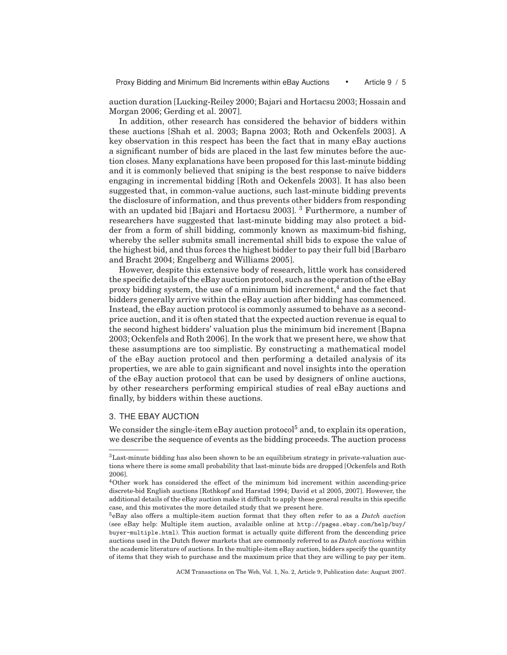auction duration [Lucking-Reiley 2000; Bajari and Hortacsu 2003; Hossain and Morgan 2006; Gerding et al. 2007].

In addition, other research has considered the behavior of bidders within these auctions [Shah et al. 2003; Bapna 2003; Roth and Ockenfels 2003]. A key observation in this respect has been the fact that in many eBay auctions a significant number of bids are placed in the last few minutes before the auction closes. Many explanations have been proposed for this last-minute bidding and it is commonly believed that sniping is the best response to naïve bidders engaging in incremental bidding [Roth and Ockenfels 2003]. It has also been suggested that, in common-value auctions, such last-minute bidding prevents the disclosure of information, and thus prevents other bidders from responding with an updated bid [Bajari and Hortacsu 2003]. <sup>3</sup> Furthermore, a number of researchers have suggested that last-minute bidding may also protect a bidder from a form of shill bidding, commonly known as maximum-bid fishing, whereby the seller submits small incremental shill bids to expose the value of the highest bid, and thus forces the highest bidder to pay their full bid [Barbaro and Bracht 2004; Engelberg and Williams 2005].

However, despite this extensive body of research, little work has considered the specific details of the eBay auction protocol, such as the operation of the eBay proxy bidding system, the use of a minimum bid increment, $<sup>4</sup>$  and the fact that</sup> bidders generally arrive within the eBay auction after bidding has commenced. Instead, the eBay auction protocol is commonly assumed to behave as a secondprice auction, and it is often stated that the expected auction revenue is equal to the second highest bidders' valuation plus the minimum bid increment [Bapna 2003; Ockenfels and Roth 2006]. In the work that we present here, we show that these assumptions are too simplistic. By constructing a mathematical model of the eBay auction protocol and then performing a detailed analysis of its properties, we are able to gain significant and novel insights into the operation of the eBay auction protocol that can be used by designers of online auctions, by other researchers performing empirical studies of real eBay auctions and finally, by bidders within these auctions.

# 3. THE EBAY AUCTION

We consider the single-item eBay auction protocol<sup>5</sup> and, to explain its operation, we describe the sequence of events as the bidding proceeds. The auction process

5eBay also offers a multiple-item auction format that they often refer to as a *Dutch auction* (see eBay help: Multiple item auction, avalaible online at http://pages.ebay.com/help/buy/ buyer-multiple.html). This auction format is actually quite different from the descending price auctions used in the Dutch flower markets that are commonly referred to as *Dutch auctions* within the academic literature of auctions. In the multiple-item eBay auction, bidders specify the quantity of items that they wish to purchase and the maximum price that they are willing to pay per item.

<sup>&</sup>lt;sup>3</sup>Last-minute bidding has also been shown to be an equilibrium strategy in private-valuation auctions where there is some small probability that last-minute bids are dropped [Ockenfels and Roth 2006].

<sup>4</sup>Other work has considered the effect of the minimum bid increment within ascending-price discrete-bid English auctions [Rothkopf and Harstad 1994; David et al 2005, 2007]. However, the additional details of the eBay auction make it difficult to apply these general results in this specific case, and this motivates the more detailed study that we present here.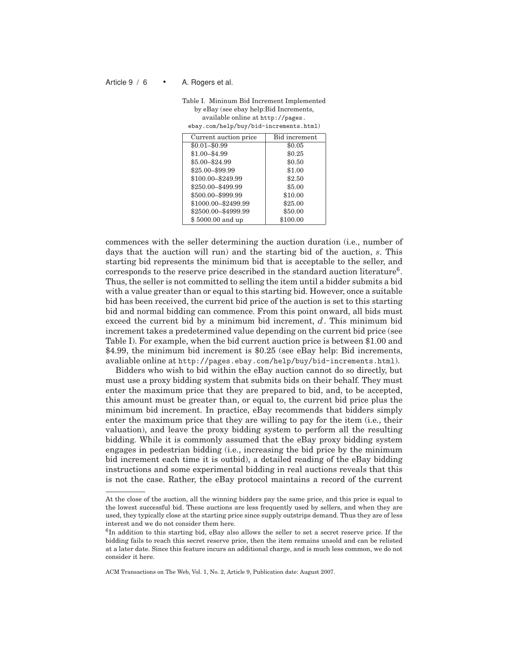Article 9 / 6 • A. Rogers et al.

Table I. Mininum Bid Increment Implemented by eBay (see ebay help:Bid Increments, available online at http://pages. ebay.com/help/buy/bid-increments.html)

| Current auction price | <b>Bid</b> increment |
|-----------------------|----------------------|
| $$0.01 - $0.99$       | \$0.05               |
| $$1.00 - $4.99$       | \$0.25               |
| \$5.00-\$24.99        | \$0.50               |
| \$25.00-\$99.99       | \$1.00               |
| \$100.00-\$249.99     | \$2.50               |
| \$250.00-\$499.99     | \$5.00               |
| \$500.00-\$999.99     | \$10.00              |
| \$1000.00-\$2499.99   | \$25.00              |
| \$2500.00-\$4999.99   | \$50.00              |
| \$5000.00 and up      | \$100.00             |

commences with the seller determining the auction duration (i.e., number of days that the auction will run) and the starting bid of the auction, *s*. This starting bid represents the minimum bid that is acceptable to the seller, and corresponds to the reserve price described in the standard auction literature6. Thus, the seller is not committed to selling the item until a bidder submits a bid with a value greater than or equal to this starting bid. However, once a suitable bid has been received, the current bid price of the auction is set to this starting bid and normal bidding can commence. From this point onward, all bids must exceed the current bid by a minimum bid increment, *d*. This minimum bid increment takes a predetermined value depending on the current bid price (see Table I). For example, when the bid current auction price is between \$1.00 and \$4.99, the minimum bid increment is \$0.25 (see eBay help: Bid increments, avaliable online at http://pages.ebay.com/help/buy/bid-increments.html).

Bidders who wish to bid within the eBay auction cannot do so directly, but must use a proxy bidding system that submits bids on their behalf. They must enter the maximum price that they are prepared to bid, and, to be accepted, this amount must be greater than, or equal to, the current bid price plus the minimum bid increment. In practice, eBay recommends that bidders simply enter the maximum price that they are willing to pay for the item (i.e., their valuation), and leave the proxy bidding system to perform all the resulting bidding. While it is commonly assumed that the eBay proxy bidding system engages in pedestrian bidding (i.e., increasing the bid price by the minimum bid increment each time it is outbid), a detailed reading of the eBay bidding instructions and some experimental bidding in real auctions reveals that this is not the case. Rather, the eBay protocol maintains a record of the current

At the close of the auction, all the winning bidders pay the same price, and this price is equal to the lowest successful bid. These auctions are less frequently used by sellers, and when they are used, they typically close at the starting price since supply outstrips demand. Thus they are of less interest and we do not consider them here.

<sup>&</sup>lt;sup>6</sup>In addition to this starting bid, eBay also allows the seller to set a secret reserve price. If the bidding fails to reach this secret reserve price, then the item remains unsold and can be relisted at a later date. Since this feature incurs an additional charge, and is much less common, we do not consider it here.

ACM Transactions on The Web, Vol. 1, No. 2, Article 9, Publication date: August 2007.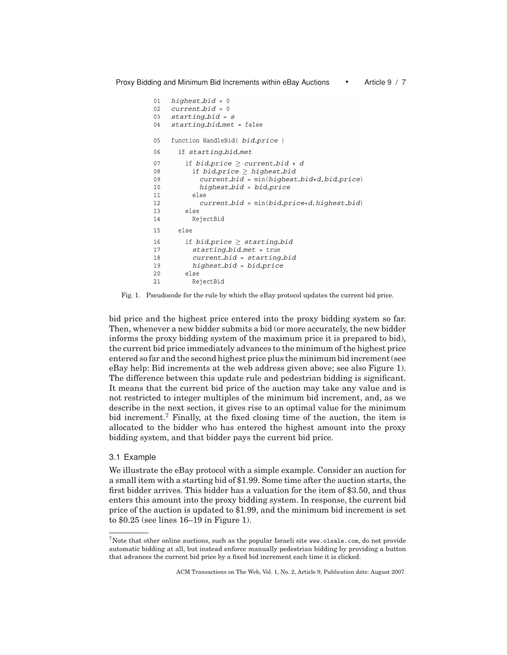Proxy Bidding and Minimum Bid Increments within eBay Auctions • Article 9 / 7

```
highest\_bid = 001current\_bid = 002starting\_bid = s03starting_bid_met = false
04
     function HandleBid( bid_price )
0.506
       if starting_bid_met
         if bid_price \geq current_bid + d
070<sub>R</sub>
           if bid_price \geq highest_bid
09
             current\_bid = min(highest\_bid + d, bid\_price)10highest_bid = bid_price
           else
1112current_bid = min(bid_price+d, highest_bid)
         else
1314RejectBid
15
      else
16if bid_price \geq starting_bid
           starting_bid_met = true
1718current\_bid = starting\_bid19
          highest_bid = bid_price
20else
21RejectBid
```
Fig. 1. Pseudocode for the rule by which the eBay protocol updates the current bid price.

bid price and the highest price entered into the proxy bidding system so far. Then, whenever a new bidder submits a bid (or more accurately, the new bidder informs the proxy bidding system of the maximum price it is prepared to bid), the current bid price immediately advances to the minimum of the highest price entered so far and the second highest price plus the minimum bid increment (see eBay help: Bid increments at the web address given above; see also Figure 1). The difference between this update rule and pedestrian bidding is significant. It means that the current bid price of the auction may take any value and is not restricted to integer multiples of the minimum bid increment, and, as we describe in the next section, it gives rise to an optimal value for the minimum bid increment.<sup>7</sup> Finally, at the fixed closing time of the auction, the item is allocated to the bidder who has entered the highest amount into the proxy bidding system, and that bidder pays the current bid price.

#### 3.1 Example

We illustrate the eBay protocol with a simple example. Consider an auction for a small item with a starting bid of \$1.99. Some time after the auction starts, the first bidder arrives. This bidder has a valuation for the item of \$3.50, and thus enters this amount into the proxy bidding system. In response, the current bid price of the auction is updated to \$1.99, and the minimum bid increment is set to \$0.25 (see lines 16–19 in Figure 1).

<sup>7</sup>Note that other online auctions, such as the popular Israeli site www.olsale.com, do not provide automatic bidding at all, but instead enforce manually pedestrian bidding by providing a button that advances the current bid price by a fixed bid increment each time it is clicked.

ACM Transactions on The Web, Vol. 1, No. 2, Article 9, Publication date: August 2007.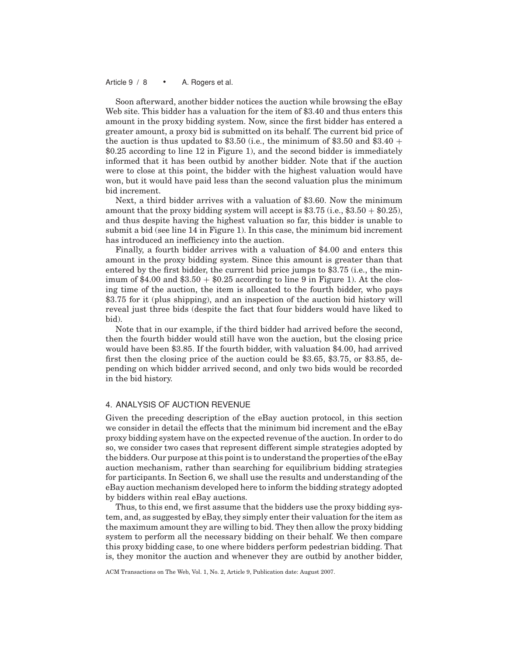#### Article 9 / 8 • A. Rogers et al.

Soon afterward, another bidder notices the auction while browsing the eBay Web site. This bidder has a valuation for the item of \$3.40 and thus enters this amount in the proxy bidding system. Now, since the first bidder has entered a greater amount, a proxy bid is submitted on its behalf. The current bid price of the auction is thus updated to \$3.50 (i.e., the minimum of \$3.50 and \$3.40 + \$0.25 according to line 12 in Figure 1), and the second bidder is immediately informed that it has been outbid by another bidder. Note that if the auction were to close at this point, the bidder with the highest valuation would have won, but it would have paid less than the second valuation plus the minimum bid increment.

Next, a third bidder arrives with a valuation of \$3.60. Now the minimum amount that the proxy bidding system will accept is  $$3.75$  (i.e.,  $$3.50 + $0.25$ ), and thus despite having the highest valuation so far, this bidder is unable to submit a bid (see line 14 in Figure 1). In this case, the minimum bid increment has introduced an inefficiency into the auction.

Finally, a fourth bidder arrives with a valuation of \$4.00 and enters this amount in the proxy bidding system. Since this amount is greater than that entered by the first bidder, the current bid price jumps to \$3.75 (i.e., the minimum of  $$4.00$  and  $$3.50 + $0.25$  according to line 9 in Figure 1). At the closing time of the auction, the item is allocated to the fourth bidder, who pays \$3.75 for it (plus shipping), and an inspection of the auction bid history will reveal just three bids (despite the fact that four bidders would have liked to bid).

Note that in our example, if the third bidder had arrived before the second, then the fourth bidder would still have won the auction, but the closing price would have been \$3.85. If the fourth bidder, with valuation \$4.00, had arrived first then the closing price of the auction could be \$3.65, \$3.75, or \$3.85, depending on which bidder arrived second, and only two bids would be recorded in the bid history.

# 4. ANALYSIS OF AUCTION REVENUE

Given the preceding description of the eBay auction protocol, in this section we consider in detail the effects that the minimum bid increment and the eBay proxy bidding system have on the expected revenue of the auction. In order to do so, we consider two cases that represent different simple strategies adopted by the bidders. Our purpose at this point is to understand the properties of the eBay auction mechanism, rather than searching for equilibrium bidding strategies for participants. In Section 6, we shall use the results and understanding of the eBay auction mechanism developed here to inform the bidding strategy adopted by bidders within real eBay auctions.

Thus, to this end, we first assume that the bidders use the proxy bidding system, and, as suggested by eBay, they simply enter their valuation for the item as the maximum amount they are willing to bid. They then allow the proxy bidding system to perform all the necessary bidding on their behalf. We then compare this proxy bidding case, to one where bidders perform pedestrian bidding. That is, they monitor the auction and whenever they are outbid by another bidder,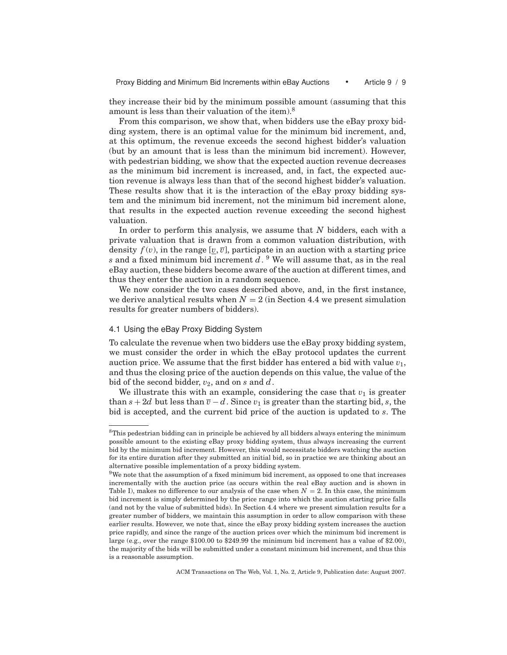they increase their bid by the minimum possible amount (assuming that this amount is less than their valuation of the item).<sup>8</sup>

From this comparison, we show that, when bidders use the eBay proxy bidding system, there is an optimal value for the minimum bid increment, and, at this optimum, the revenue exceeds the second highest bidder's valuation (but by an amount that is less than the minimum bid increment). However, with pedestrian bidding, we show that the expected auction revenue decreases as the minimum bid increment is increased, and, in fact, the expected auction revenue is always less than that of the second highest bidder's valuation. These results show that it is the interaction of the eBay proxy bidding system and the minimum bid increment, not the minimum bid increment alone, that results in the expected auction revenue exceeding the second highest valuation.

In order to perform this analysis, we assume that *N* bidders, each with a private valuation that is drawn from a common valuation distribution, with density  $f(v)$ , in the range  $[\underline{v}, \overline{v}]$ , participate in an auction with a starting price *s* and a fixed minimum bid increment *d*. <sup>9</sup> We will assume that, as in the real eBay auction, these bidders become aware of the auction at different times, and thus they enter the auction in a random sequence.

We now consider the two cases described above, and, in the first instance, we derive analytical results when  $N = 2$  (in Section 4.4 we present simulation results for greater numbers of bidders).

# 4.1 Using the eBay Proxy Bidding System

To calculate the revenue when two bidders use the eBay proxy bidding system, we must consider the order in which the eBay protocol updates the current auction price. We assume that the first bidder has entered a bid with value  $v_1$ , and thus the closing price of the auction depends on this value, the value of the bid of the second bidder,  $v_2$ , and on  $s$  and  $d$ .

We illustrate this with an example, considering the case that  $v_1$  is greater than  $s + 2d$  but less than  $\overline{v} - d$ . Since  $v_1$  is greater than the starting bid, *s*, the bid is accepted, and the current bid price of the auction is updated to *s*. The

<sup>8</sup>This pedestrian bidding can in principle be achieved by all bidders always entering the minimum possible amount to the existing eBay proxy bidding system, thus always increasing the current bid by the minimum bid increment. However, this would necessitate bidders watching the auction for its entire duration after they submitted an initial bid, so in practice we are thinking about an alternative possible implementation of a proxy bidding system.

<sup>9</sup>We note that the assumption of a fixed minimum bid increment, as opposed to one that increases incrementally with the auction price (as occurs within the real eBay auction and is shown in Table I), makes no difference to our analysis of the case when  $N = 2$ . In this case, the minimum bid increment is simply determined by the price range into which the auction starting price falls (and not by the value of submitted bids). In Section 4.4 where we present simulation results for a greater number of bidders, we maintain this assumption in order to allow comparison with these earlier results. However, we note that, since the eBay proxy bidding system increases the auction price rapidly, and since the range of the auction prices over which the minimum bid increment is large (e.g., over the range \$100.00 to \$249.99 the minimum bid increment has a value of \$2.00), the majority of the bids will be submitted under a constant minimum bid increment, and thus this is a reasonable assumption.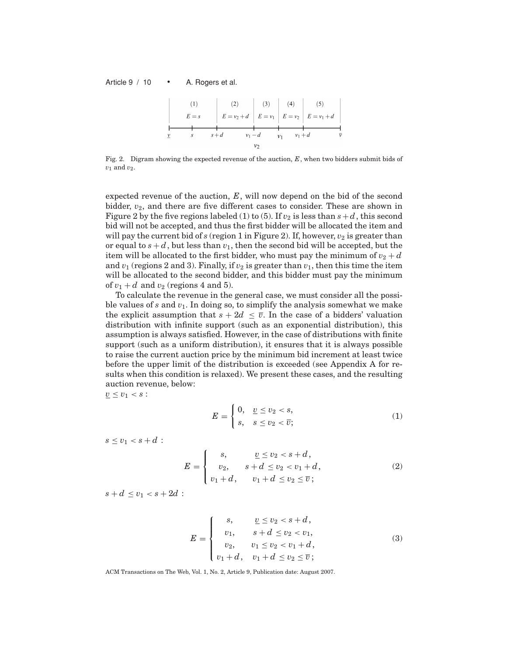



Fig. 2. Digram showing the expected revenue of the auction, *E*, when two bidders submit bids of  $v_1$  and  $v_2$ .

expected revenue of the auction, *E*, will now depend on the bid of the second bidder,  $v_2$ , and there are five different cases to consider. These are shown in Figure 2 by the five regions labeled (1) to (5). If  $v_2$  is less than  $s+d$ , this second bid will not be accepted, and thus the first bidder will be allocated the item and will pay the current bid of  $s$  (region 1 in Figure 2). If, however,  $v_2$  is greater than or equal to  $s + d$ , but less than  $v_1$ , then the second bid will be accepted, but the item will be allocated to the first bidder, who must pay the minimum of  $v_2 + d$ and  $v_1$  (regions 2 and 3). Finally, if  $v_2$  is greater than  $v_1$ , then this time the item will be allocated to the second bidder, and this bidder must pay the minimum of  $v_1 + d$  and  $v_2$  (regions 4 and 5).

To calculate the revenue in the general case, we must consider all the possible values of *s* and *v*1. In doing so, to simplify the analysis somewhat we make the explicit assumption that  $s + 2d \leq \overline{v}$ . In the case of a bidders' valuation distribution with infinite support (such as an exponential distribution), this assumption is always satisfied. However, in the case of distributions with finite support (such as a uniform distribution), it ensures that it is always possible to raise the current auction price by the minimum bid increment at least twice before the upper limit of the distribution is exceeded (see Appendix A for results when this condition is relaxed). We present these cases, and the resulting auction revenue, below:

 $v_1 < s$ :

$$
E = \begin{cases} 0, & \underline{v} \le v_2 < s, \\ s, & s \le v_2 < \overline{v}; \end{cases} \tag{1}
$$

 $s \le v_1 < s + d$ :

$$
E = \begin{cases} s, & \underline{v} \le v_2 < s + d, \\ v_2, & s + d \le v_2 < v_1 + d, \\ v_1 + d, & v_1 + d \le v_2 \le \overline{v} \, ; \end{cases} \tag{2}
$$

 $s + d < v_1 < s + 2d$ :

$$
E = \begin{cases} s, & \underline{v} \le v_2 < s + d, \\ v_1, & s + d \le v_2 < v_1, \\ v_2, & v_1 \le v_2 < v_1 + d, \\ v_1 + d, & v_1 + d \le v_2 \le \overline{v}; \end{cases} \tag{3}
$$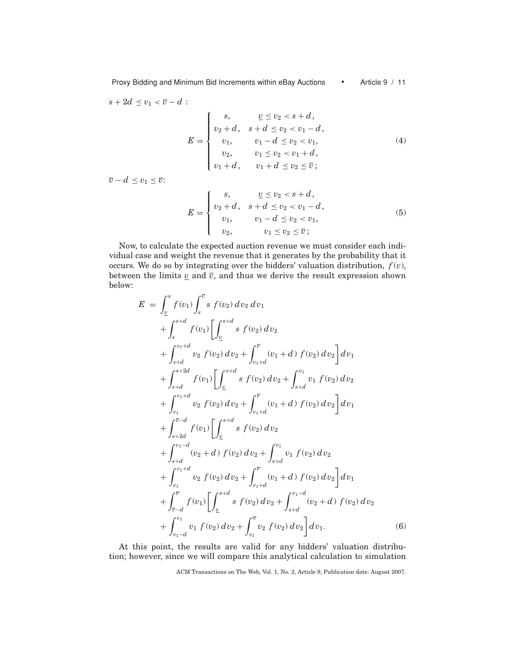Proxy Bidding and Minimum Bid Increments within eBay Auctions • Article 9 / 11

 $s + 2d \le v_1 < \overline{v} - d$ :

$$
E = \begin{cases} s, & \underline{v} \le v_2 < s + d, \\ v_2 + d, & s + d \le v_2 < v_1 - d, \\ v_1, & v_1 - d \le v_2 < v_1, \\ v_2, & v_1 \le v_2 < v_1 + d, \\ v_1 + d, & v_1 + d \le v_2 \le \overline{v}; \end{cases} \tag{4}
$$

 $\overline{v} - d \le v_1 \le \overline{v}$ :

$$
E = \begin{cases} s, & \underline{v} \le v_2 < s + d, \\ v_2 + d, & s + d \le v_2 < v_1 - d, \\ v_1, & v_1 - d \le v_2 < v_1, \\ v_2, & v_1 \le v_2 \le \overline{v}; \end{cases} \tag{5}
$$

Now, to calculate the expected auction revenue we must consider each individual case and weight the revenue that it generates by the probability that it occurs. We do so by integrating over the bidders' valuation distribution, *f* (*v*), between the limits  $\underline{v}$  and  $\overline{v}$ , and thus we derive the result expression shown below:

$$
E = \int_{\underline{v}}^{s} f(v_1) \int_{s}^{\overline{v}} s f(v_2) dv_2 dv_1
$$
  
+  $\int_{s}^{s+d} f(v_1) \Biggl[ \int_{\underline{v}}^{s+d} s f(v_2) dv_2$   
+  $\int_{s+d}^{v_1+d} v_2 f(v_2) dv_2 + \int_{v_1+d}^{\overline{v}} (v_1 + d) f(v_2) dv_2 \Biggr] dv_1$   
+  $\int_{s+d}^{s+2d} f(v_1) \Biggl[ \int_{\underline{v}}^{s+d} s f(v_2) dv_2 + \int_{s+d}^{v_1} v_1 f(v_2) dv_2$   
+  $\int_{v_1}^{v_1+d} v_2 f(v_2) dv_2 + \int_{v_1+d}^{\overline{v}} (v_1 + d) f(v_2) dv_2 \Biggr] dv_1$   
+  $\int_{s+2d}^{v_1-d} f(v_1) \Biggl[ \int_{\underline{v}}^{s+d} s f(v_2) dv_2$   
+  $\int_{s+d}^{v_1-d} (v_2 + d) f(v_2) dv_2 + \int_{s+d}^{v_1} v_1 f(v_2) dv_2$   
+  $\int_{v_1}^{v_1-d} v_2 f(v_2) dv_2 + \int_{v_1+d}^{\overline{v}} (v_1 + d) f(v_2) dv_2 \Biggr] dv_1$   
+  $\int_{v_1}^{v_1+d} v_2 f(v_2) dv_2 + \int_{v_1+d}^{\overline{v}} (v_1 + d) f(v_2) dv_2 \Biggr] dv_1$   
+  $\int_{\overline{v}-d}^{\overline{v}} f(v_1) \Biggl[ \int_{\underline{v}}^{s+d} s f(v_2) dv_2 + \int_{s+d}^{v_1-d} (v_2 + d) f(v_2) dv_2$   
+  $\int_{v_1-d}^{v_1} v_1 f(v_2) dv_2 + \int_{v_1}^{\overline{v}} v_2 f(v_2) dv_2 \Biggr] dv_1.$  (6)

At this point, the results are valid for any bidders' valuation distribution; however, since we will compare this analytical calculation to simulation

ACM Transactions on The Web, Vol. 1, No. 2, Article 9, Publication date: August 2007.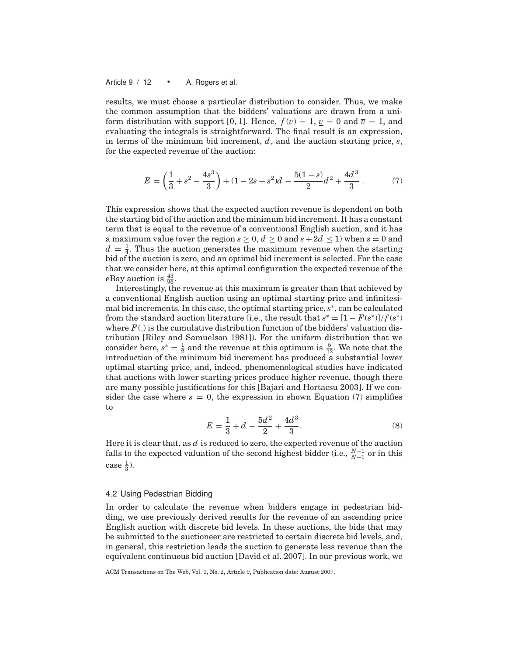### Article 9 / 12 • A. Rogers et al.

results, we must choose a particular distribution to consider. Thus, we make the common assumption that the bidders' valuations are drawn from a uniform distribution with support [0, 1]. Hence,  $f(v) = 1$ ,  $v = 0$  and  $\overline{v} = 1$ , and evaluating the integrals is straightforward. The final result is an expression, in terms of the minimum bid increment, *d*, and the auction starting price, *s*, for the expected revenue of the auction:

$$
E = \left(\frac{1}{3} + s^2 - \frac{4s^3}{3}\right) + (1 - 2s + s^2)d - \frac{5(1 - s)}{2}d^2 + \frac{4d^3}{3}.
$$
 (7)

This expression shows that the expected auction revenue is dependent on both the starting bid of the auction and the minimum bid increment. It has a constant term that is equal to the revenue of a conventional English auction, and it has a maximum value (over the region  $s \geq 0$ ,  $d \geq 0$  and  $s + 2d \leq 1$ ) when  $s = 0$  and  $d = \frac{1}{4}$ . Thus the auction generates the maximum revenue when the starting bid of the auction is zero, and an optimal bid increment is selected. For the case that we consider here, at this optimal configuration the expected revenue of the  $e$ Bay auction is  $\frac{43}{96}$ .

Interestingly, the revenue at this maximum is greater than that achieved by a conventional English auction using an optimal starting price and infinitesimal bid increments. In this case, the optimal starting price, *s*∗, can be calculated from the standard auction literature (i.e., the result that  $s^* = [1 - F(s^*)]/f(s^*)$ where  $F(.)$  is the cumulative distribution function of the bidders' valuation distribution [Riley and Samuelson 1981]). For the uniform distribution that we consider here,  $s^* = \frac{1}{2}$  and the revenue at this optimum is  $\frac{5}{12}$ . We note that the introduction of the minimum bid increment has produced a substantial lower optimal starting price, and, indeed, phenomenological studies have indicated that auctions with lower starting prices produce higher revenue, though there are many possible justifications for this [Bajari and Hortacsu 2003]. If we consider the case where  $s = 0$ , the expression in shown Equation (7) simplifies to

$$
E = \frac{1}{3} + d - \frac{5d^2}{2} + \frac{4d^3}{3}.
$$
 (8)

Here it is clear that, as *d* is reduced to zero, the expected revenue of the auction falls to the expected valuation of the second highest bidder (i.e.,  $\frac{N-1}{N+1}$  or in this case  $\frac{1}{3}$ ).

#### 4.2 Using Pedestrian Bidding

In order to calculate the revenue when bidders engage in pedestrian bidding, we use previously derived results for the revenue of an ascending price English auction with discrete bid levels. In these auctions, the bids that may be submitted to the auctioneer are restricted to certain discrete bid levels, and, in general, this restriction leads the auction to generate less revenue than the equivalent continuous bid auction [David et al. 2007]. In our previous work, we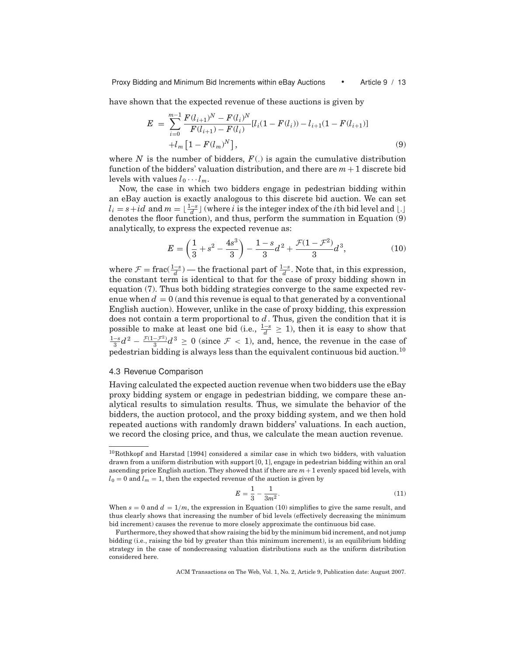have shown that the expected revenue of these auctions is given by

$$
E = \sum_{i=0}^{m-1} \frac{F(l_{i+1})^N - F(l_i)^N}{F(l_{i+1}) - F(l_i)} [l_i(1 - F(l_i)) - l_{i+1}(1 - F(l_{i+1})) + l_m [1 - F(l_m)^N], \tag{9}
$$

where N is the number of bidders,  $F(.)$  is again the cumulative distribution function of the bidders' valuation distribution, and there are  $m + 1$  discrete bid levels with values  $l_0 \cdots l_m$ .

Now, the case in which two bidders engage in pedestrian bidding within an eBay auction is exactly analogous to this discrete bid auction. We can set  $l_i = s + id$  and  $m = \lfloor \frac{1-s}{d} \rfloor$  (where *i* is the integer index of the *i*th bid level and  $\lfloor . \rfloor$ denotes the floor function), and thus, perform the summation in Equation (9) analytically, to express the expected revenue as:

$$
E = \left(\frac{1}{3} + s^2 - \frac{4s^3}{3}\right) - \frac{1-s}{3}d^2 + \frac{\mathcal{F}(1 - \mathcal{F}^2)}{3}d^3,\tag{10}
$$

where  $\mathcal{F} = \text{frac}(\frac{1-s}{d})$  — the fractional part of  $\frac{1-s}{d}$ . Note that, in this expression, the constant term is identical to that for the case of proxy bidding shown in equation (7). Thus both bidding strategies converge to the same expected revenue when  $d = 0$  (and this revenue is equal to that generated by a conventional English auction). However, unlike in the case of proxy bidding, this expression does not contain a term proportional to *d*. Thus, given the condition that it is possible to make at least one bid (i.e.,  $\frac{1-s}{d} \ge 1$ ), then it is easy to show that  $\frac{1-s}{3}d^2 - \frac{\mathcal{F}(1-\mathcal{F}^2)}{3}d^3 \ge 0$  (since  $\mathcal{F}$  < 1), and, hence, the revenue in the case of pedestrian bidding is always less than the equivalent continuous bid auction.<sup>10</sup>

#### 4.3 Revenue Comparison

Having calculated the expected auction revenue when two bidders use the eBay proxy bidding system or engage in pedestrian bidding, we compare these analytical results to simulation results. Thus, we simulate the behavior of the bidders, the auction protocol, and the proxy bidding system, and we then hold repeated auctions with randomly drawn bidders' valuations. In each auction, we record the closing price, and thus, we calculate the mean auction revenue.

$$
E = \frac{1}{3} - \frac{1}{3m^2}.\tag{11}
$$

 $10$ Rothkopf and Harstad [1994] considered a similar case in which two bidders, with valuation drawn from a uniform distribution with support [0, 1], engage in pedestrian bidding within an oral ascending price English auction. They showed that if there are *m*+1 evenly spaced bid levels, with  $l_0 = 0$  and  $l_m = 1$ , then the expected revenue of the auction is given by

When  $s = 0$  and  $d = 1/m$ , the expression in Equation (10) simplifies to give the same result, and thus clearly shows that increasing the number of bid levels (effectively decreasing the minimum bid increment) causes the revenue to more closely approximate the continuous bid case.

Furthermore, they showed that show raising the bid by the minimum bid increment, and not jump bidding (i.e., raising the bid by greater than this minimum increment), is an equilibrium bidding strategy in the case of nondecreasing valuation distributions such as the uniform distribution considered here.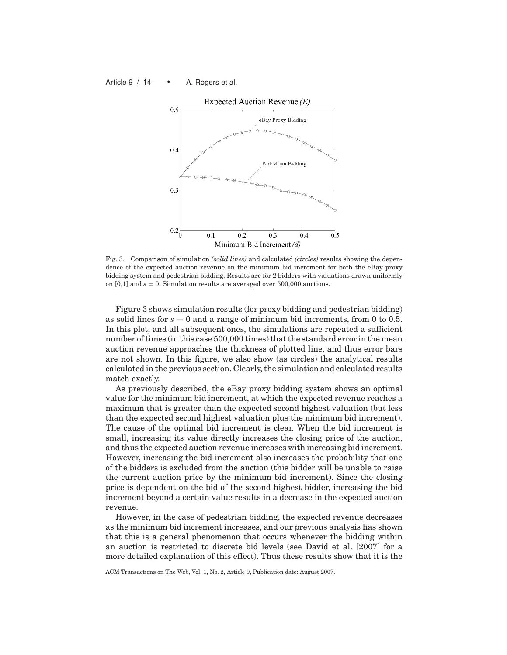Article 9 / 14 • A. Rogers et al.



Fig. 3. Comparison of simulation *(solid lines)* and calculated *(circles)* results showing the dependence of the expected auction revenue on the minimum bid increment for both the eBay proxy bidding system and pedestrian bidding. Results are for 2 bidders with valuations drawn uniformly on  $[0,1]$  and  $s = 0$ . Simulation results are averaged over 500,000 auctions.

Figure 3 shows simulation results (for proxy bidding and pedestrian bidding) as solid lines for *s* = 0 and a range of minimum bid increments, from 0 to 0.5. In this plot, and all subsequent ones, the simulations are repeated a sufficient number of times (in this case 500,000 times) that the standard error in the mean auction revenue approaches the thickness of plotted line, and thus error bars are not shown. In this figure, we also show (as circles) the analytical results calculated in the previous section. Clearly, the simulation and calculated results match exactly.

As previously described, the eBay proxy bidding system shows an optimal value for the minimum bid increment, at which the expected revenue reaches a maximum that is greater than the expected second highest valuation (but less than the expected second highest valuation plus the minimum bid increment). The cause of the optimal bid increment is clear. When the bid increment is small, increasing its value directly increases the closing price of the auction, and thus the expected auction revenue increases with increasing bid increment. However, increasing the bid increment also increases the probability that one of the bidders is excluded from the auction (this bidder will be unable to raise the current auction price by the minimum bid increment). Since the closing price is dependent on the bid of the second highest bidder, increasing the bid increment beyond a certain value results in a decrease in the expected auction revenue.

However, in the case of pedestrian bidding, the expected revenue decreases as the minimum bid increment increases, and our previous analysis has shown that this is a general phenomenon that occurs whenever the bidding within an auction is restricted to discrete bid levels (see David et al. [2007] for a more detailed explanation of this effect). Thus these results show that it is the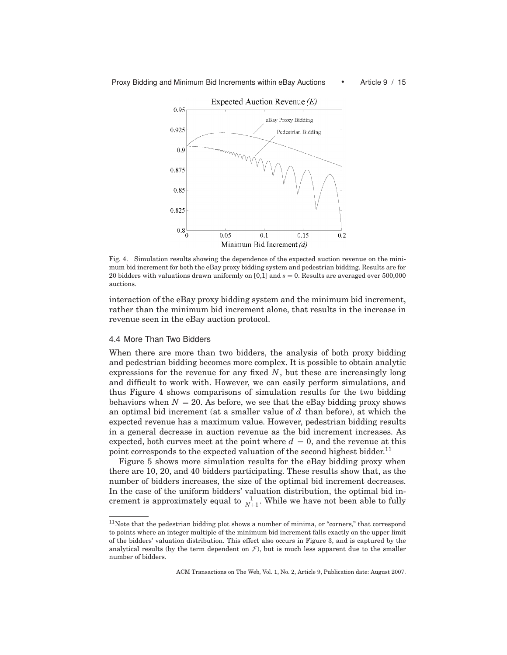

Fig. 4. Simulation results showing the dependence of the expected auction revenue on the minimum bid increment for both the eBay proxy bidding system and pedestrian bidding. Results are for 20 bidders with valuations drawn uniformly on [0,1] and *s* = 0. Results are averaged over 500,000 auctions.

interaction of the eBay proxy bidding system and the minimum bid increment, rather than the minimum bid increment alone, that results in the increase in revenue seen in the eBay auction protocol.

# 4.4 More Than Two Bidders

When there are more than two bidders, the analysis of both proxy bidding and pedestrian bidding becomes more complex. It is possible to obtain analytic expressions for the revenue for any fixed *N*, but these are increasingly long and difficult to work with. However, we can easily perform simulations, and thus Figure 4 shows comparisons of simulation results for the two bidding behaviors when  $N = 20$ . As before, we see that the eBay bidding proxy shows an optimal bid increment (at a smaller value of *d* than before), at which the expected revenue has a maximum value. However, pedestrian bidding results in a general decrease in auction revenue as the bid increment increases. As expected, both curves meet at the point where  $d = 0$ , and the revenue at this point corresponds to the expected valuation of the second highest bidder.<sup>11</sup>

Figure 5 shows more simulation results for the eBay bidding proxy when there are 10, 20, and 40 bidders participating. These results show that, as the number of bidders increases, the size of the optimal bid increment decreases. In the case of the uniform bidders' valuation distribution, the optimal bid increment is approximately equal to  $\frac{1}{N+1}$ . While we have not been able to fully

 $11$ Note that the pedestrian bidding plot shows a number of minima, or "corners," that correspond to points where an integer multiple of the minimum bid increment falls exactly on the upper limit of the bidders' valuation distribution. This effect also occurs in Figure 3, and is captured by the analytical results (by the term dependent on  $\mathcal{F}$ ), but is much less apparent due to the smaller number of bidders.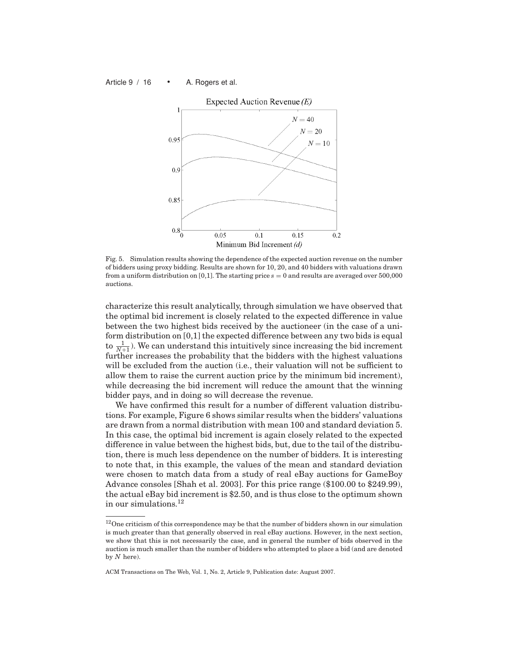#### Article 9 / 16 • A. Rogers et al.



Fig. 5. Simulation results showing the dependence of the expected auction revenue on the number of bidders using proxy bidding. Results are shown for 10, 20, and 40 bidders with valuations drawn from a uniform distribution on [0,1]. The starting price  $s = 0$  and results are averaged over 500,000 auctions.

characterize this result analytically, through simulation we have observed that the optimal bid increment is closely related to the expected difference in value between the two highest bids received by the auctioneer (in the case of a uniform distribution on [0,1] the expected difference between any two bids is equal to  $\frac{1}{N+1}$ ). We can understand this intuitively since increasing the bid increment further increases the probability that the bidders with the highest valuations will be excluded from the auction (i.e., their valuation will not be sufficient to allow them to raise the current auction price by the minimum bid increment), while decreasing the bid increment will reduce the amount that the winning bidder pays, and in doing so will decrease the revenue.

We have confirmed this result for a number of different valuation distributions. For example, Figure 6 shows similar results when the bidders' valuations are drawn from a normal distribution with mean 100 and standard deviation 5. In this case, the optimal bid increment is again closely related to the expected difference in value between the highest bids, but, due to the tail of the distribution, there is much less dependence on the number of bidders. It is interesting to note that, in this example, the values of the mean and standard deviation were chosen to match data from a study of real eBay auctions for GameBoy Advance consoles [Shah et al. 2003]. For this price range (\$100.00 to \$249.99), the actual eBay bid increment is \$2.50, and is thus close to the optimum shown in our simulations.<sup>12</sup>

<sup>12</sup>One criticism of this correspondence may be that the number of bidders shown in our simulation is much greater than that generally observed in real eBay auctions. However, in the next section, we show that this is not necessarily the case, and in general the number of bids observed in the auction is much smaller than the number of bidders who attempted to place a bid (and are denoted by *N* here).

ACM Transactions on The Web, Vol. 1, No. 2, Article 9, Publication date: August 2007.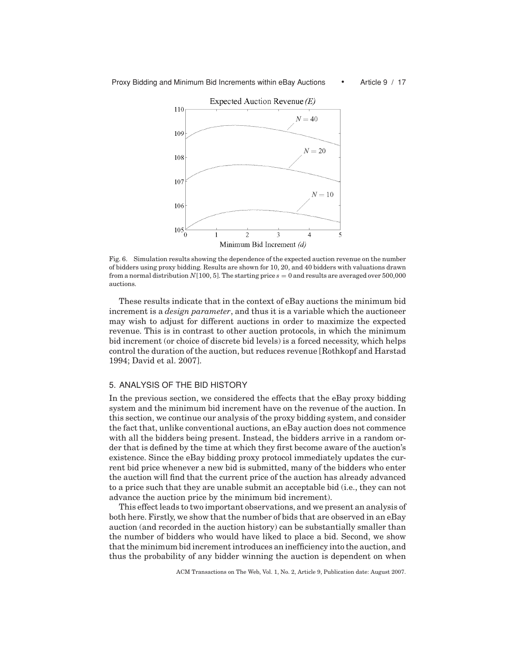

Fig. 6. Simulation results showing the dependence of the expected auction revenue on the number of bidders using proxy bidding. Results are shown for 10, 20, and 40 bidders with valuations drawn from a normal distribution  $N(100, 5]$ . The starting price  $s = 0$  and results are averaged over 500,000 auctions.

These results indicate that in the context of eBay auctions the minimum bid increment is a *design parameter*, and thus it is a variable which the auctioneer may wish to adjust for different auctions in order to maximize the expected revenue. This is in contrast to other auction protocols, in which the minimum bid increment (or choice of discrete bid levels) is a forced necessity, which helps control the duration of the auction, but reduces revenue [Rothkopf and Harstad 1994; David et al. 2007].

# 5. ANALYSIS OF THE BID HISTORY

In the previous section, we considered the effects that the eBay proxy bidding system and the minimum bid increment have on the revenue of the auction. In this section, we continue our analysis of the proxy bidding system, and consider the fact that, unlike conventional auctions, an eBay auction does not commence with all the bidders being present. Instead, the bidders arrive in a random order that is defined by the time at which they first become aware of the auction's existence. Since the eBay bidding proxy protocol immediately updates the current bid price whenever a new bid is submitted, many of the bidders who enter the auction will find that the current price of the auction has already advanced to a price such that they are unable submit an acceptable bid (i.e., they can not advance the auction price by the minimum bid increment).

This effect leads to two important observations, and we present an analysis of both here. Firstly, we show that the number of bids that are observed in an eBay auction (and recorded in the auction history) can be substantially smaller than the number of bidders who would have liked to place a bid. Second, we show that the minimum bid increment introduces an inefficiency into the auction, and thus the probability of any bidder winning the auction is dependent on when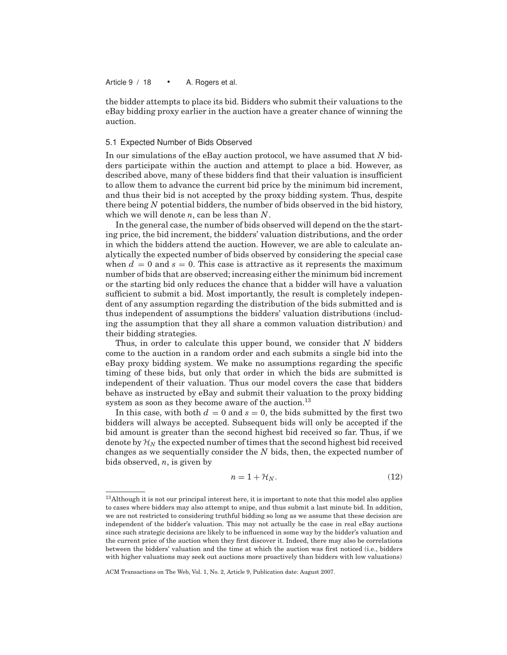Article 9 / 18 • A. Rogers et al.

the bidder attempts to place its bid. Bidders who submit their valuations to the eBay bidding proxy earlier in the auction have a greater chance of winning the auction.

# 5.1 Expected Number of Bids Observed

In our simulations of the eBay auction protocol, we have assumed that *N* bidders participate within the auction and attempt to place a bid. However, as described above, many of these bidders find that their valuation is insufficient to allow them to advance the current bid price by the minimum bid increment, and thus their bid is not accepted by the proxy bidding system. Thus, despite there being *N* potential bidders, the number of bids observed in the bid history, which we will denote *n*, can be less than *N*.

In the general case, the number of bids observed will depend on the the starting price, the bid increment, the bidders' valuation distributions, and the order in which the bidders attend the auction. However, we are able to calculate analytically the expected number of bids observed by considering the special case when  $d = 0$  and  $s = 0$ . This case is attractive as it represents the maximum number of bids that are observed; increasing either the minimum bid increment or the starting bid only reduces the chance that a bidder will have a valuation sufficient to submit a bid. Most importantly, the result is completely independent of any assumption regarding the distribution of the bids submitted and is thus independent of assumptions the bidders' valuation distributions (including the assumption that they all share a common valuation distribution) and their bidding strategies.

Thus, in order to calculate this upper bound, we consider that *N* bidders come to the auction in a random order and each submits a single bid into the eBay proxy bidding system. We make no assumptions regarding the specific timing of these bids, but only that order in which the bids are submitted is independent of their valuation. Thus our model covers the case that bidders behave as instructed by eBay and submit their valuation to the proxy bidding system as soon as they become aware of the auction.<sup>13</sup>

In this case, with both  $d = 0$  and  $s = 0$ , the bids submitted by the first two bidders will always be accepted. Subsequent bids will only be accepted if the bid amount is greater than the second highest bid received so far. Thus, if we denote by  $\mathcal{H}_N$  the expected number of times that the second highest bid received changes as we sequentially consider the *N* bids, then, the expected number of bids observed, *n*, is given by

$$
n = 1 + \mathcal{H}_N. \tag{12}
$$

<sup>&</sup>lt;sup>13</sup>Although it is not our principal interest here, it is important to note that this model also applies to cases where bidders may also attempt to snipe, and thus submit a last minute bid. In addition, we are not restricted to considering truthful bidding so long as we assume that these decision are independent of the bidder's valuation. This may not actually be the case in real eBay auctions since such strategic decisions are likely to be influenced in some way by the bidder's valuation and the current price of the auction when they first discover it. Indeed, there may also be correlations between the bidders' valuation and the time at which the auction was first noticed (i.e., bidders with higher valuations may seek out auctions more proactively than bidders with low valuations)

ACM Transactions on The Web, Vol. 1, No. 2, Article 9, Publication date: August 2007.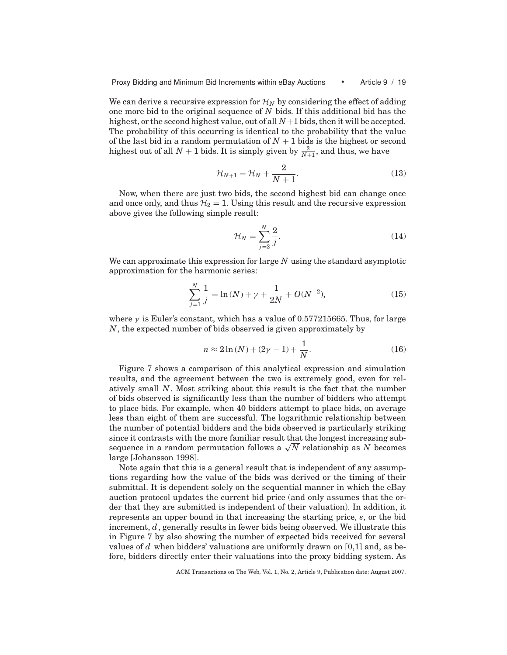We can derive a recursive expression for  $\mathcal{H}_N$  by considering the effect of adding one more bid to the original sequence of *N* bids. If this additional bid has the highest, or the second highest value, out of all  $N+1$  bids, then it will be accepted. The probability of this occurring is identical to the probability that the value of the last bid in a random permutation of  $N + 1$  bids is the highest or second highest out of all  $N+1$  bids. It is simply given by  $\frac{2}{N+1}$ , and thus, we have

$$
\mathcal{H}_{N+1} = \mathcal{H}_N + \frac{2}{N+1}.\tag{13}
$$

Now, when there are just two bids, the second highest bid can change once and once only, and thus  $H_2 = 1$ . Using this result and the recursive expression above gives the following simple result:

$$
\mathcal{H}_N = \sum_{j=2}^N \frac{2}{j}.\tag{14}
$$

We can approximate this expression for large *N* using the standard asymptotic approximation for the harmonic series:

$$
\sum_{j=1}^{N} \frac{1}{j} = \ln(N) + \gamma + \frac{1}{2N} + O(N^{-2}),\tag{15}
$$

where  $\gamma$  is Euler's constant, which has a value of 0.577215665. Thus, for large *N*, the expected number of bids observed is given approximately by

$$
n \approx 2\ln(N) + (2\gamma - 1) + \frac{1}{N}.
$$
 (16)

Figure 7 shows a comparison of this analytical expression and simulation results, and the agreement between the two is extremely good, even for relatively small *N*. Most striking about this result is the fact that the number of bids observed is significantly less than the number of bidders who attempt to place bids. For example, when 40 bidders attempt to place bids, on average less than eight of them are successful. The logarithmic relationship between the number of potential bidders and the bids observed is particularly striking since it contrasts with the more familiar result that the longest increasing subsequence in a random permutation follows a  $\sqrt{N}$  relationship as *N* becomes large [Johansson 1998].

Note again that this is a general result that is independent of any assumptions regarding how the value of the bids was derived or the timing of their submittal. It is dependent solely on the sequential manner in which the eBay auction protocol updates the current bid price (and only assumes that the order that they are submitted is independent of their valuation). In addition, it represents an upper bound in that increasing the starting price, *s*, or the bid increment, *d*, generally results in fewer bids being observed. We illustrate this in Figure 7 by also showing the number of expected bids received for several values of *d* when bidders' valuations are uniformly drawn on [0,1] and, as before, bidders directly enter their valuations into the proxy bidding system. As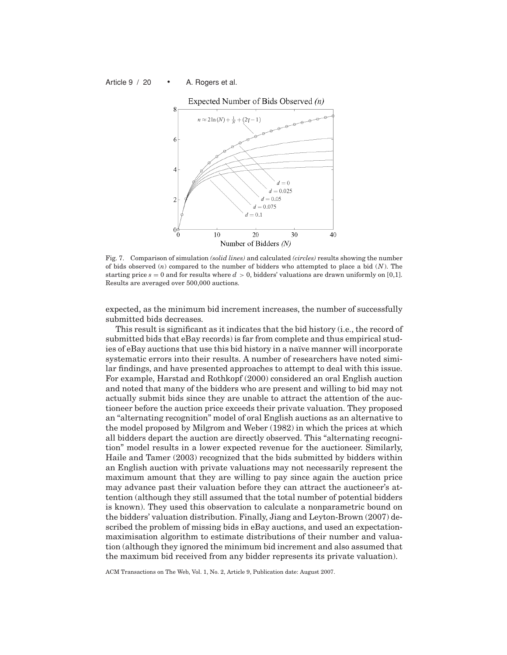#### Article 9 / 20 • A. Rogers et al.



Fig. 7. Comparison of simulation *(solid lines)* and calculated *(circles)* results showing the number of bids observed (*n*) compared to the number of bidders who attempted to place a bid (*N*). The starting price  $s = 0$  and for results where  $d > 0$ , bidders' valuations are drawn uniformly on [0,1]. Results are averaged over 500,000 auctions.

expected, as the minimum bid increment increases, the number of successfully submitted bids decreases.

This result is significant as it indicates that the bid history (i.e., the record of submitted bids that eBay records) is far from complete and thus empirical studies of eBay auctions that use this bid history in a naïve manner will incorporate systematic errors into their results. A number of researchers have noted similar findings, and have presented approaches to attempt to deal with this issue. For example, Harstad and Rothkopf (2000) considered an oral English auction and noted that many of the bidders who are present and willing to bid may not actually submit bids since they are unable to attract the attention of the auctioneer before the auction price exceeds their private valuation. They proposed an "alternating recognition" model of oral English auctions as an alternative to the model proposed by Milgrom and Weber (1982) in which the prices at which all bidders depart the auction are directly observed. This "alternating recognition" model results in a lower expected revenue for the auctioneer. Similarly, Haile and Tamer (2003) recognized that the bids submitted by bidders within an English auction with private valuations may not necessarily represent the maximum amount that they are willing to pay since again the auction price may advance past their valuation before they can attract the auctioneer's attention (although they still assumed that the total number of potential bidders is known). They used this observation to calculate a nonparametric bound on the bidders' valuation distribution. Finally, Jiang and Leyton-Brown (2007) described the problem of missing bids in eBay auctions, and used an expectationmaximisation algorithm to estimate distributions of their number and valuation (although they ignored the minimum bid increment and also assumed that the maximum bid received from any bidder represents its private valuation).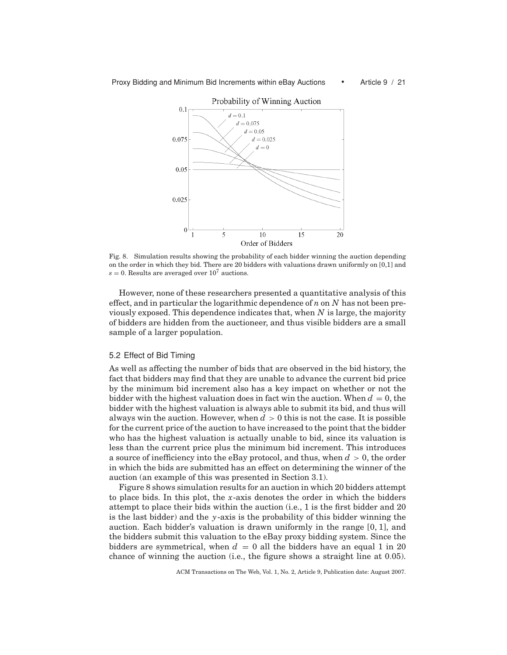

Fig. 8. Simulation results showing the probability of each bidder winning the auction depending on the order in which they bid. There are 20 bidders with valuations drawn uniformly on [0,1] and  $s = 0$ . Results are averaged over  $10<sup>7</sup>$  auctions.

However, none of these researchers presented a quantitative analysis of this effect, and in particular the logarithmic dependence of *n* on *N* has not been previously exposed. This dependence indicates that, when *N* is large, the majority of bidders are hidden from the auctioneer, and thus visible bidders are a small sample of a larger population.

#### 5.2 Effect of Bid Timing

As well as affecting the number of bids that are observed in the bid history, the fact that bidders may find that they are unable to advance the current bid price by the minimum bid increment also has a key impact on whether or not the bidder with the highest valuation does in fact win the auction. When  $d = 0$ , the bidder with the highest valuation is always able to submit its bid, and thus will always win the auction. However, when  $d > 0$  this is not the case. It is possible for the current price of the auction to have increased to the point that the bidder who has the highest valuation is actually unable to bid, since its valuation is less than the current price plus the minimum bid increment. This introduces a source of inefficiency into the eBay protocol, and thus, when *d* > 0, the order in which the bids are submitted has an effect on determining the winner of the auction (an example of this was presented in Section 3.1).

Figure 8 shows simulation results for an auction in which 20 bidders attempt to place bids. In this plot, the *x*-axis denotes the order in which the bidders attempt to place their bids within the auction (i.e., 1 is the first bidder and 20 is the last bidder) and the  $\gamma$ -axis is the probability of this bidder winning the auction. Each bidder's valuation is drawn uniformly in the range [0, 1], and the bidders submit this valuation to the eBay proxy bidding system. Since the bidders are symmetrical, when  $d = 0$  all the bidders have an equal 1 in 20 chance of winning the auction (i.e., the figure shows a straight line at 0.05).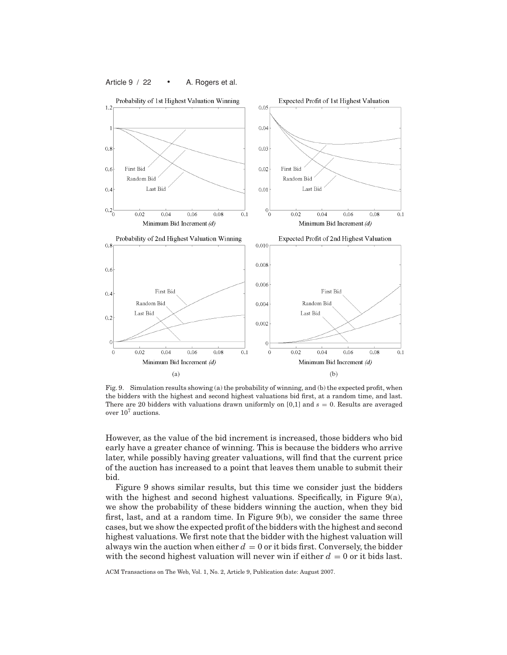



Fig. 9. Simulation results showing (a) the probability of winning, and (b) the expected profit, when the bidders with the highest and second highest valuations bid first, at a random time, and last. There are 20 bidders with valuations drawn uniformly on [0,1] and *s* = 0. Results are averaged over 10<sup>7</sup> auctions.

However, as the value of the bid increment is increased, those bidders who bid early have a greater chance of winning. This is because the bidders who arrive later, while possibly having greater valuations, will find that the current price of the auction has increased to a point that leaves them unable to submit their bid.

Figure 9 shows similar results, but this time we consider just the bidders with the highest and second highest valuations. Specifically, in Figure  $9(a)$ , we show the probability of these bidders winning the auction, when they bid first, last, and at a random time. In Figure 9(b), we consider the same three cases, but we show the expected profit of the bidders with the highest and second highest valuations. We first note that the bidder with the highest valuation will always win the auction when either  $d = 0$  or it bids first. Conversely, the bidder with the second highest valuation will never win if either  $d = 0$  or it bids last.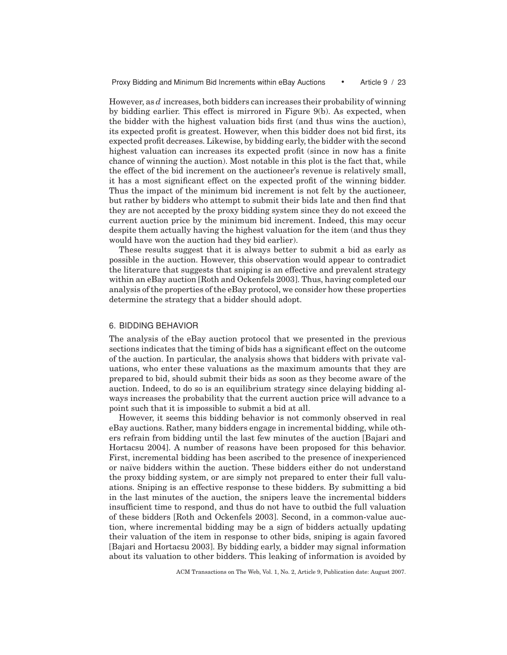Proxy Bidding and Minimum Bid Increments within eBay Auctions • Article 9 / 23

However, as *d* increases, both bidders can increases their probability of winning by bidding earlier. This effect is mirrored in Figure 9(b). As expected, when the bidder with the highest valuation bids first (and thus wins the auction), its expected profit is greatest. However, when this bidder does not bid first, its expected profit decreases. Likewise, by bidding early, the bidder with the second highest valuation can increases its expected profit (since in now has a finite chance of winning the auction). Most notable in this plot is the fact that, while the effect of the bid increment on the auctioneer's revenue is relatively small, it has a most significant effect on the expected profit of the winning bidder. Thus the impact of the minimum bid increment is not felt by the auctioneer, but rather by bidders who attempt to submit their bids late and then find that they are not accepted by the proxy bidding system since they do not exceed the current auction price by the minimum bid increment. Indeed, this may occur despite them actually having the highest valuation for the item (and thus they would have won the auction had they bid earlier).

These results suggest that it is always better to submit a bid as early as possible in the auction. However, this observation would appear to contradict the literature that suggests that sniping is an effective and prevalent strategy within an eBay auction [Roth and Ockenfels 2003]. Thus, having completed our analysis of the properties of the eBay protocol, we consider how these properties determine the strategy that a bidder should adopt.

### 6. BIDDING BEHAVIOR

The analysis of the eBay auction protocol that we presented in the previous sections indicates that the timing of bids has a significant effect on the outcome of the auction. In particular, the analysis shows that bidders with private valuations, who enter these valuations as the maximum amounts that they are prepared to bid, should submit their bids as soon as they become aware of the auction. Indeed, to do so is an equilibrium strategy since delaying bidding always increases the probability that the current auction price will advance to a point such that it is impossible to submit a bid at all.

However, it seems this bidding behavior is not commonly observed in real eBay auctions. Rather, many bidders engage in incremental bidding, while others refrain from bidding until the last few minutes of the auction [Bajari and Hortacsu 2004]. A number of reasons have been proposed for this behavior. First, incremental bidding has been ascribed to the presence of inexperienced or na¨ıve bidders within the auction. These bidders either do not understand the proxy bidding system, or are simply not prepared to enter their full valuations. Sniping is an effective response to these bidders. By submitting a bid in the last minutes of the auction, the snipers leave the incremental bidders insufficient time to respond, and thus do not have to outbid the full valuation of these bidders [Roth and Ockenfels 2003]. Second, in a common-value auction, where incremental bidding may be a sign of bidders actually updating their valuation of the item in response to other bids, sniping is again favored [Bajari and Hortacsu 2003]. By bidding early, a bidder may signal information about its valuation to other bidders. This leaking of information is avoided by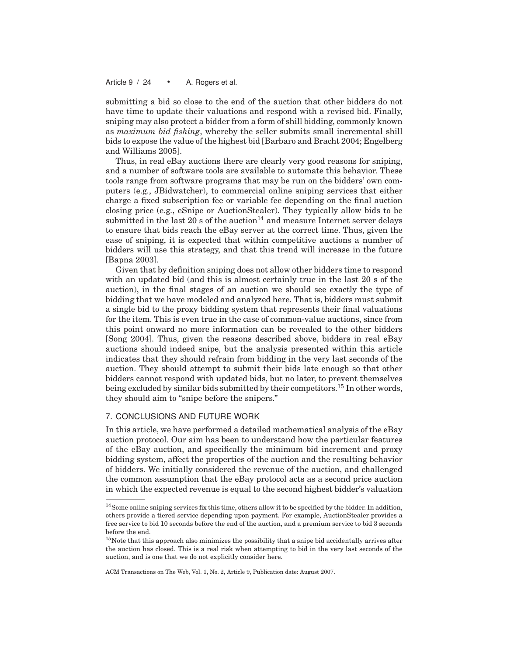### Article 9 / 24 • A. Rogers et al.

submitting a bid so close to the end of the auction that other bidders do not have time to update their valuations and respond with a revised bid. Finally, sniping may also protect a bidder from a form of shill bidding, commonly known as *maximum bid fishing*, whereby the seller submits small incremental shill bids to expose the value of the highest bid [Barbaro and Bracht 2004; Engelberg and Williams 2005].

Thus, in real eBay auctions there are clearly very good reasons for sniping, and a number of software tools are available to automate this behavior. These tools range from software programs that may be run on the bidders' own computers (e.g., JBidwatcher), to commercial online sniping services that either charge a fixed subscription fee or variable fee depending on the final auction closing price (e.g., eSnipe or AuctionStealer). They typically allow bids to be submitted in the last  $20$  s of the auction<sup>14</sup> and measure Internet server delays to ensure that bids reach the eBay server at the correct time. Thus, given the ease of sniping, it is expected that within competitive auctions a number of bidders will use this strategy, and that this trend will increase in the future [Bapna 2003].

Given that by definition sniping does not allow other bidders time to respond with an updated bid (and this is almost certainly true in the last 20 s of the auction), in the final stages of an auction we should see exactly the type of bidding that we have modeled and analyzed here. That is, bidders must submit a single bid to the proxy bidding system that represents their final valuations for the item. This is even true in the case of common-value auctions, since from this point onward no more information can be revealed to the other bidders [Song 2004]. Thus, given the reasons described above, bidders in real eBay auctions should indeed snipe, but the analysis presented within this article indicates that they should refrain from bidding in the very last seconds of the auction. They should attempt to submit their bids late enough so that other bidders cannot respond with updated bids, but no later, to prevent themselves being excluded by similar bids submitted by their competitors.<sup>15</sup> In other words, they should aim to "snipe before the snipers."

### 7. CONCLUSIONS AND FUTURE WORK

In this article, we have performed a detailed mathematical analysis of the eBay auction protocol. Our aim has been to understand how the particular features of the eBay auction, and specifically the minimum bid increment and proxy bidding system, affect the properties of the auction and the resulting behavior of bidders. We initially considered the revenue of the auction, and challenged the common assumption that the eBay protocol acts as a second price auction in which the expected revenue is equal to the second highest bidder's valuation

<sup>14</sup>Some online sniping services fix this time, others allow it to be specified by the bidder. In addition, others provide a tiered service depending upon payment. For example, AuctionStealer provides a free service to bid 10 seconds before the end of the auction, and a premium service to bid 3 seconds before the end.

<sup>&</sup>lt;sup>15</sup>Note that this approach also minimizes the possibility that a snipe bid accidentally arrives after the auction has closed. This is a real risk when attempting to bid in the very last seconds of the auction, and is one that we do not explicitly consider here.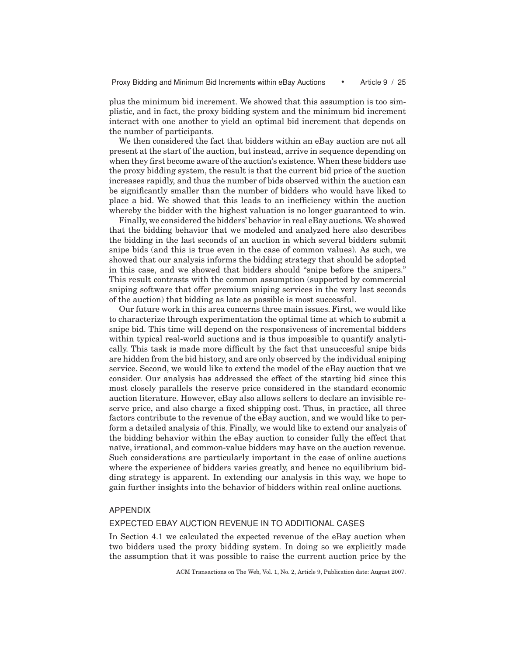plus the minimum bid increment. We showed that this assumption is too simplistic, and in fact, the proxy bidding system and the minimum bid increment interact with one another to yield an optimal bid increment that depends on the number of participants.

We then considered the fact that bidders within an eBay auction are not all present at the start of the auction, but instead, arrive in sequence depending on when they first become aware of the auction's existence. When these bidders use the proxy bidding system, the result is that the current bid price of the auction increases rapidly, and thus the number of bids observed within the auction can be significantly smaller than the number of bidders who would have liked to place a bid. We showed that this leads to an inefficiency within the auction whereby the bidder with the highest valuation is no longer guaranteed to win.

Finally, we considered the bidders' behavior in real eBay auctions. We showed that the bidding behavior that we modeled and analyzed here also describes the bidding in the last seconds of an auction in which several bidders submit snipe bids (and this is true even in the case of common values). As such, we showed that our analysis informs the bidding strategy that should be adopted in this case, and we showed that bidders should "snipe before the snipers." This result contrasts with the common assumption (supported by commercial sniping software that offer premium sniping services in the very last seconds of the auction) that bidding as late as possible is most successful.

Our future work in this area concerns three main issues. First, we would like to characterize through experimentation the optimal time at which to submit a snipe bid. This time will depend on the responsiveness of incremental bidders within typical real-world auctions and is thus impossible to quantify analytically. This task is made more difficult by the fact that unsuccesful snipe bids are hidden from the bid history, and are only observed by the individual sniping service. Second, we would like to extend the model of the eBay auction that we consider. Our analysis has addressed the effect of the starting bid since this most closely parallels the reserve price considered in the standard economic auction literature. However, eBay also allows sellers to declare an invisible reserve price, and also charge a fixed shipping cost. Thus, in practice, all three factors contribute to the revenue of the eBay auction, and we would like to perform a detailed analysis of this. Finally, we would like to extend our analysis of the bidding behavior within the eBay auction to consider fully the effect that naïve, irrational, and common-value bidders may have on the auction revenue. Such considerations are particularly important in the case of online auctions where the experience of bidders varies greatly, and hence no equilibrium bidding strategy is apparent. In extending our analysis in this way, we hope to gain further insights into the behavior of bidders within real online auctions.

# APPENDIX

# EXPECTED EBAY AUCTION REVENUE IN TO ADDITIONAL CASES

In Section 4.1 we calculated the expected revenue of the eBay auction when two bidders used the proxy bidding system. In doing so we explicitly made the assumption that it was possible to raise the current auction price by the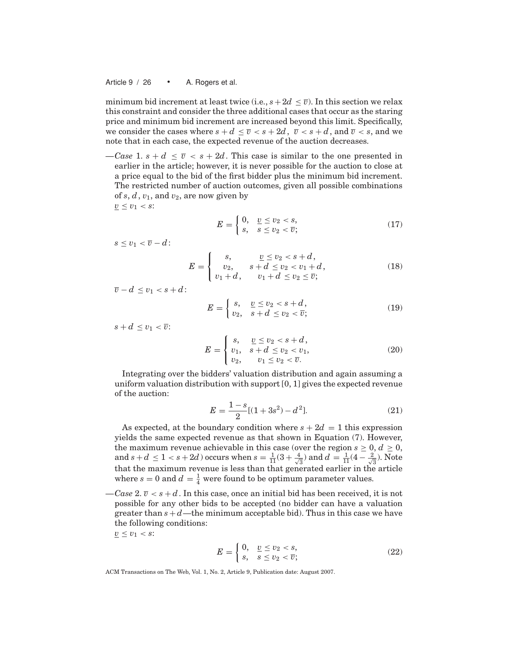#### Article 9 / 26 • A. Rogers et al.

minimum bid increment at least twice (i.e.,  $s + 2d < \overline{v}$ ). In this section we relax this constraint and consider the three additional cases that occur as the staring price and minimum bid increment are increased beyond this limit. Specifically, we consider the cases where  $s + d \leq \overline{v} < s + 2d$ ,  $\overline{v} < s + d$ , and  $\overline{v} < s$ , and we note that in each case, the expected revenue of the auction decreases.

 $-Case\ 1. \ s+d < \overline{v} < s+2d$ . This case is similar to the one presented in earlier in the article; however, it is never possible for the auction to close at a price equal to the bid of the first bidder plus the minimum bid increment. The restricted number of auction outcomes, given all possible combinations of *s*, *d*, *v*1, and *v*2, are now given by  $v \leq v_1 < s$ :

$$
E = \begin{cases} 0, & \underline{v} \le v_2 < s, \\ s, & \underline{s} \le v_2 < \overline{v}; \end{cases} \tag{17}
$$

 $s < v_1 < \overline{v} - d$ :

$$
E = \begin{cases} s, & \underline{v} \le v_2 < s + d, \\ v_2, & s + d \le v_2 < v_1 + d, \\ v_1 + d, & v_1 + d \le v_2 \le \overline{v}; \end{cases} \tag{18}
$$

 $\overline{v} - d \leq v_1 < s + d$ :

$$
E = \begin{cases} s, & \underline{v} \le v_2 < s + d, \\ v_2, & s + d \le v_2 < \overline{v}; \end{cases} \tag{19}
$$

 $s + d \leq v_1 < \overline{v}$ :

$$
E = \begin{cases} s, & \underline{v} \le v_2 < s + d, \\ v_1, & s + d \le v_2 < v_1, \\ v_2, & v_1 \le v_2 < \overline{v}. \end{cases} \tag{20}
$$

Integrating over the bidders' valuation distribution and again assuming a uniform valuation distribution with support  $[0, 1]$  gives the expected revenue of the auction:

$$
E = \frac{1 - s}{2} [(1 + 3s^2) - d^2].
$$
 (21)

As expected, at the boundary condition where  $s + 2d = 1$  this expression yields the same expected revenue as that shown in Equation (7). However, the maximum revenue achievable in this case (over the region  $s \geq 0, d \geq 0$ , and  $s + d \leq 1 < s + 2d$  ) occurs when  $s = \frac{1}{11}(3 + \frac{4}{\sqrt{3}})$  and  $d = \frac{1}{11}(4 - \frac{2}{\sqrt{3}})$ . Note that the maximum revenue is less than that generated earlier in the article where  $s = 0$  and  $d = \frac{1}{4}$  were found to be optimum parameter values.

—*Case* 2.  $\overline{v}$  < *s* + *d*. In this case, once an initial bid has been received, it is not possible for any other bids to be accepted (no bidder can have a valuation greater than  $s + d$ —the minimum acceptable bid). Thus in this case we have the following conditions:

 $\underline{v} \leq v_1 < s$ :

$$
E = \begin{cases} 0, & \underline{v} \le v_2 < s, \\ s, & \underline{s} \le v_2 < \overline{v}; \end{cases} \tag{22}
$$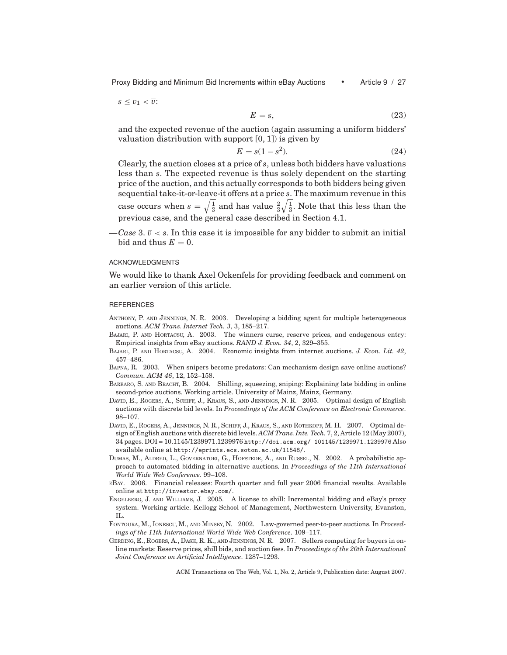Proxy Bidding and Minimum Bid Increments within eBay Auctions • Article 9 / 27

 $s \leq v_1 < \overline{v}$ :

$$
E = s,\t\t(23)
$$

and the expected revenue of the auction (again assuming a uniform bidders' valuation distribution with support  $[0, 1]$  is given by

$$
E = s(1 - s^2). \t\t(24)
$$

Clearly, the auction closes at a price of *s*, unless both bidders have valuations less than *s*. The expected revenue is thus solely dependent on the starting price of the auction, and this actually corresponds to both bidders being given sequential take-it-or-leave-it offers at a price *s*. The maximum revenue in this case occurs when  $s = \sqrt{\frac{1}{3}}$  and has value  $\frac{2}{3}\sqrt{\frac{1}{3}}$ . Note that this less than the previous case, and the general case described in Section 4.1.

 $-Case$  3.  $\overline{v}$  < *s*. In this case it is impossible for any bidder to submit an initial bid and thus  $E = 0$ .

### ACKNOWLEDGMENTS

We would like to thank Axel Ockenfels for providing feedback and comment on an earlier version of this article.

#### **REFERENCES**

- ANTHONY, P. AND JENNINGS, N. R. 2003. Developing a bidding agent for multiple heterogeneous auctions. *ACM Trans. Internet Tech. 3*, 3, 185–217.
- BAJARI, P. AND HORTACSU, A. 2003. The winners curse, reserve prices, and endogenous entry: Empirical insights from eBay auctions. *RAND J. Econ. 34*, 2, 329–355.
- BAJARI, P. AND HORTACSU, A. 2004. Economic insights from internet auctions. *J. Econ. Lit. 42*, 457–486.
- BAPNA, R. 2003. When snipers become predators: Can mechanism design save online auctions? *Commun. ACM 46*, 12, 152–158.
- BARBARO, S. AND BRACHT, B. 2004. Shilling, squeezing, sniping: Explaining late bidding in online second-price auctions. Working article. University of Mainz, Mainz, Germany.
- DAVID, E., ROGERS, A., SCHIFF, J., KRAUS, S., AND JENNINGS, N. R. 2005. Optimal design of English auctions with discrete bid levels. In *Proceedings of the ACM Conference on Electronic Commerce*. 98–107.
- DAVID, E., ROGERS, A., JENNINGS, N. R., SCHIFF, J., KRAUS, S., AND ROTHKOPF, M. H. 2007. Optimal design of English auctions with discrete bid levels. *ACM Trans. Inte. Tech.* 7, 2, Article 12 (May 2007), 34 pages. DOI = 10.1145/1239971.1239976 http://doi.acm.org/ 101145/1239971.1239976 Also available online at http://eprints.ecs.soton.ac.uk/11548/.
- DUMAS, M., ALDRED, L., GOVERNATORI, G., HOFSTEDE, A., AND RUSSEL, N. 2002. A probabilistic approach to automated bidding in alternative auctions. In *Proceedings of the 11th International World Wide Web Conference*. 99–108.
- EBAY. 2006. Financial releases: Fourth quarter and full year 2006 financial results. Available online at http://investor.ebay.com/.
- ENGELBERG, J. AND WILLIAMS, J. 2005. A license to shill: Incremental bidding and eBay's proxy system. Working article. Kellogg School of Management, Northwestern University, Evanston, IL.
- FONTOURA, M., IONESCU, M., AND MINSKY, N. 2002. Law-governed peer-to-peer auctions. In *Proceedings of the 11th International World Wide Web Conference*. 109–117.
- GERDING, E., ROGERS, A., DASH, R. K., AND JENNINGS, N. R. 2007. Sellers competing for buyers in online markets: Reserve prices, shill bids, and auction fees. In *Proceedings of the 20th International Joint Conference on Artificial Intelligence*. 1287–1293.